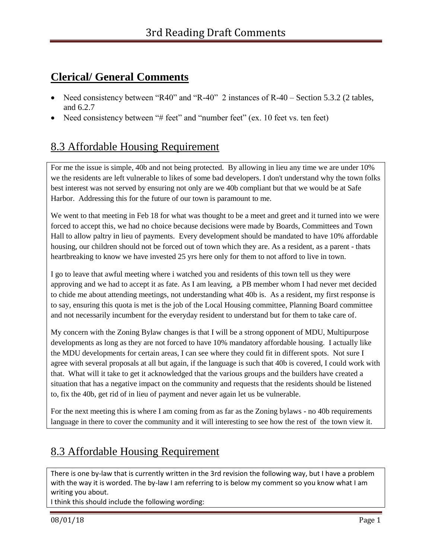## **Clerical/ General Comments**

- Need consistency between "R40" and "R-40" 2 instances of R-40 Section 5.3.2 (2 tables, and 6.2.7
- Need consistency between "# feet" and "number feet" (ex. 10 feet vs. ten feet)

## 8.3 Affordable Housing Requirement

For me the issue is simple, 40b and not being protected. By allowing in lieu any time we are under 10% we the residents are left vulnerable to likes of some bad developers. I don't understand why the town folks best interest was not served by ensuring not only are we 40b compliant but that we would be at Safe Harbor. Addressing this for the future of our town is paramount to me.

We went to that meeting in Feb 18 for what was thought to be a meet and greet and it turned into we were forced to accept this, we had no choice because decisions were made by Boards, Committees and Town Hall to allow paltry in lieu of payments. Every development should be mandated to have 10% affordable housing, our children should not be forced out of town which they are. As a resident, as a parent - thats heartbreaking to know we have invested 25 yrs here only for them to not afford to live in town.

I go to leave that awful meeting where i watched you and residents of this town tell us they were approving and we had to accept it as fate. As I am leaving, a PB member whom I had never met decided to chide me about attending meetings, not understanding what 40b is. As a resident, my first response is to say, ensuring this quota is met is the job of the Local Housing committee, Planning Board committee and not necessarily incumbent for the everyday resident to understand but for them to take care of.

My concern with the Zoning Bylaw changes is that I will be a strong opponent of MDU, Multipurpose developments as long as they are not forced to have 10% mandatory affordable housing. I actually like the MDU developments for certain areas, I can see where they could fit in different spots. Not sure I agree with several proposals at all but again, if the language is such that 40b is covered, I could work with that. What will it take to get it acknowledged that the various groups and the builders have created a situation that has a negative impact on the community and requests that the residents should be listened to, fix the 40b, get rid of in lieu of payment and never again let us be vulnerable.

For the next meeting this is where I am coming from as far as the Zoning bylaws - no 40b requirements language in there to cover the community and it will interesting to see how the rest of the town view it.

# 8.3 Affordable Housing Requirement

There is one by-law that is currently written in the 3rd revision the following way, but I have a problem with the way it is worded. The by-law I am referring to is below my comment so you know what I am writing you about.

I think this should include the following wording: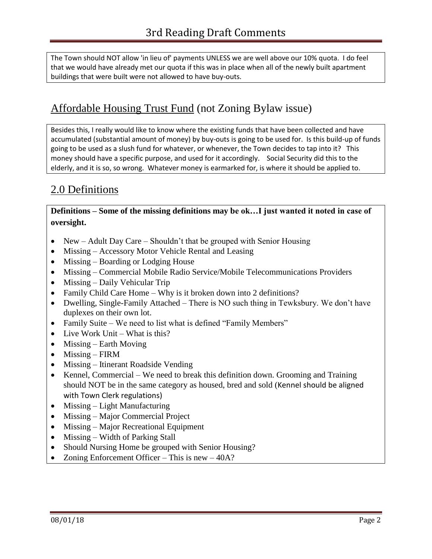The Town should NOT allow 'in lieu of' payments UNLESS we are well above our 10% quota. I do feel that we would have already met our quota if this was in place when all of the newly built apartment buildings that were built were not allowed to have buy-outs.

## Affordable Housing Trust Fund (not Zoning Bylaw issue)

Besides this, I really would like to know where the existing funds that have been collected and have accumulated (substantial amount of money) by buy-outs is going to be used for. Is this build-up of funds going to be used as a slush fund for whatever, or whenever, the Town decides to tap into it? This money should have a specific purpose, and used for it accordingly. Social Security did this to the elderly, and it is so, so wrong. Whatever money is earmarked for, is where it should be applied to.

## 2.0 Definitions

**Definitions – Some of the missing definitions may be ok…I just wanted it noted in case of oversight.**

- New Adult Day Care Shouldn't that be grouped with Senior Housing
- Missing Accessory Motor Vehicle Rental and Leasing
- Missing Boarding or Lodging House
- Missing Commercial Mobile Radio Service/Mobile Telecommunications Providers
- Missing Daily Vehicular Trip
- Family Child Care Home Why is it broken down into 2 definitions?
- Dwelling, Single-Family Attached There is NO such thing in Tewksbury. We don't have duplexes on their own lot.
- Family Suite We need to list what is defined "Family Members"
- Live Work Unit What is this?
- $\bullet$  Missing Earth Moving
- Missing FIRM
- Missing Itinerant Roadside Vending
- Kennel, Commercial We need to break this definition down. Grooming and Training should NOT be in the same category as housed, bred and sold (Kennel should be aligned with Town Clerk regulations)
- $\bullet$  Missing Light Manufacturing
- Missing Major Commercial Project
- Missing Major Recreational Equipment
- Missing Width of Parking Stall
- Should Nursing Home be grouped with Senior Housing?
- Zoning Enforcement Officer This is new 40A?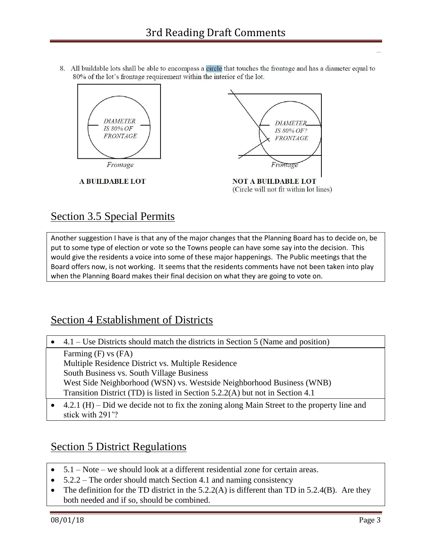8. All buildable lots shall be able to encompass a circle that touches the frontage and has a diameter equal to 80% of the lot's frontage requirement within the interior of the lot.



## Section 3.5 Special Permits

Another suggestion I have is that any of the major changes that the Planning Board has to decide on, be put to some type of election or vote so the Towns people can have some say into the decision. This would give the residents a voice into some of these major happenings. The Public meetings that the Board offers now, is not working. It seems that the residents comments have not been taken into play when the Planning Board makes their final decision on what they are going to vote on.

#### Section 4 Establishment of Districts

| $\bullet$ 4.1 – Use Districts should match the districts in Section 5 (Name and position) |
|-------------------------------------------------------------------------------------------|
| Farming $(F)$ vs $(FA)$                                                                   |
| Multiple Residence District vs. Multiple Residence                                        |
| South Business vs. South Village Business                                                 |
| West Side Neighborhood (WSN) vs. Westside Neighborhood Business (WNB)                     |
| Transition District (TD) is listed in Section 5.2.2(A) but not in Section 4.1             |
|                                                                                           |

 4.2.1 (H) – Did we decide not to fix the zoning along Main Street to the property line and stick with 291'?

## Section 5 District Regulations

- 5.1 Note we should look at a different residential zone for certain areas.
- 5.2.2 The order should match Section 4.1 and naming consistency
- The definition for the TD district in the  $5.2.2(A)$  is different than TD in  $5.2.4(B)$ . Are they both needed and if so, should be combined.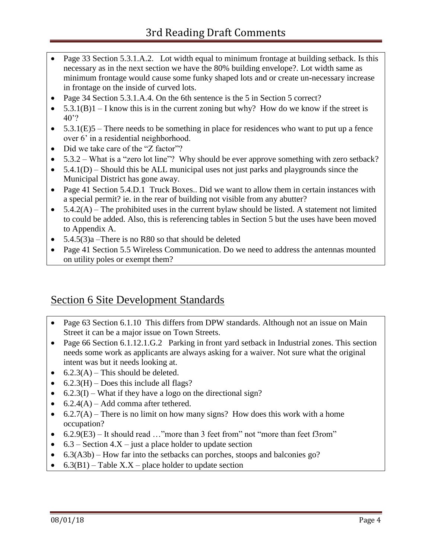- Page 33 Section 5.3.1.A.2. Lot width equal to minimum frontage at building setback. Is this necessary as in the next section we have the 80% building envelope?. Lot width same as minimum frontage would cause some funky shaped lots and or create un-necessary increase in frontage on the inside of curved lots.
- Page 34 Section 5.3.1.A.4. On the 6th sentence is the 5 in Section 5 correct?
- $\bullet$  5.3.1(B)1 I know this is in the current zoning but why? How do we know if the street is 40'?
- $\bullet$  5.3.1(E)5 There needs to be something in place for residences who want to put up a fence over 6' in a residential neighborhood.
- Did we take care of the "Z factor"?
- 5.3.2 What is a "zero lot line"? Why should be ever approve something with zero setback?
- $\bullet$  5.4.1(D) Should this be ALL municipal uses not just parks and playgrounds since the Municipal District has gone away.
- Page 41 Section 5.4.D.1 Truck Boxes.. Did we want to allow them in certain instances with a special permit? ie. in the rear of building not visible from any abutter?
- $\bullet$  5.4.2(A) The prohibited uses in the current bylaw should be listed. A statement not limited to could be added. Also, this is referencing tables in Section 5 but the uses have been moved to Appendix A.
- 5.4.5(3)a –There is no R80 so that should be deleted
- Page 41 Section 5.5 Wireless Communication. Do we need to address the antennas mounted on utility poles or exempt them?

#### Section 6 Site Development Standards

- Page 63 Section 6.1.10 This differs from DPW standards. Although not an issue on Main Street it can be a major issue on Town Streets.
- Page 66 Section 6.1.12.1.G.2 Parking in front yard setback in Industrial zones. This section needs some work as applicants are always asking for a waiver. Not sure what the original intent was but it needs looking at.
- $6.2.3(A)$  This should be deleted.
- $\bullet$  6.2.3(H) Does this include all flags?
- $\bullet$  6.2.3(I) What if they have a logo on the directional sign?
- $6.2.4(A)$  Add comma after tethered.
- $\bullet$  6.2.7(A) There is no limit on how many signs? How does this work with a home occupation?
- $\bullet$  6.2.9(E3) It should read ..." more than 3 feet from not "more than feet f3rom"
- $\bullet$  6.3 Section 4.X just a place holder to update section
- 6.3(A3b) How far into the setbacks can porches, stoops and balconies go?
- $6.3(B1)$  Table X.X place holder to update section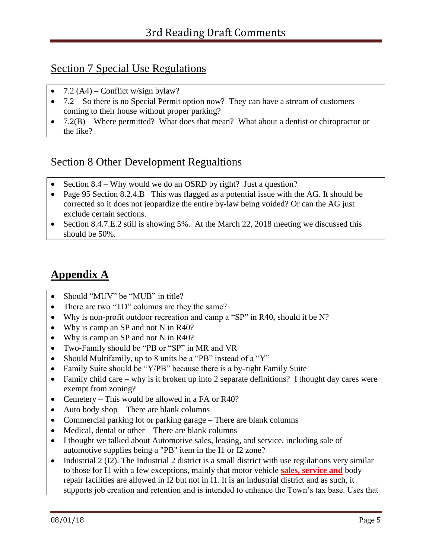#### Section 7 Special Use Regulations

- 7.2  $(A4)$  Conflict w/sign bylaw?
- 7.2 So there is no Special Permit option now? They can have a stream of customers coming to their house without proper parking?
- $7.2(B)$  Where permitted? What does that mean? What about a dentist or chiropractor or the like?

#### Section 8 Other Development Regualtions

- Section 8.4 Why would we do an OSRD by right? Just a question?
- Page 95 Section 8.2.4.B This was flagged as a potential issue with the AG. It should be corrected so it does not jeopardize the entire by-law being voided? Or can the AG just exclude certain sections.
- Section 8.4.7.E.2 still is showing 5%. At the March 22, 2018 meeting we discussed this should be 50%.

# **Appendix A**

- Should "MUV" be "MUB" in title?
- There are two "TD" columns are they the same?
- Why is non-profit outdoor recreation and camp a "SP" in R40, should it be N?
- Why is camp an SP and not N in R40?
- Why is camp an SP and not N in R40?
- Two-Family should be "PB or "SP" in MR and VR
- Should Multifamily, up to 8 units be a "PB" instead of a "Y"
- Family Suite should be "Y/PB" because there is a by-right Family Suite
- Family child care why is it broken up into 2 separate definitions? I thought day cares were exempt from zoning?
- Cemetery This would be allowed in a FA or R40?
- Auto body shop There are blank columns
- Commercial parking lot or parking garage There are blank columns
- Medical, dental or other There are blank columns
- I thought we talked about Automotive sales, leasing, and service, including sale of automotive supplies being a "PB" item in the I1 or I2 zone?
- Industrial 2 (I2). The Industrial 2 district is a small district with use regulations very similar to those for I1 with a few exceptions, mainly that motor vehicle **sales, service and** body repair facilities are allowed in I2 but not in I1. It is an industrial district and as such, it supports job creation and retention and is intended to enhance the Town's tax base. Uses that